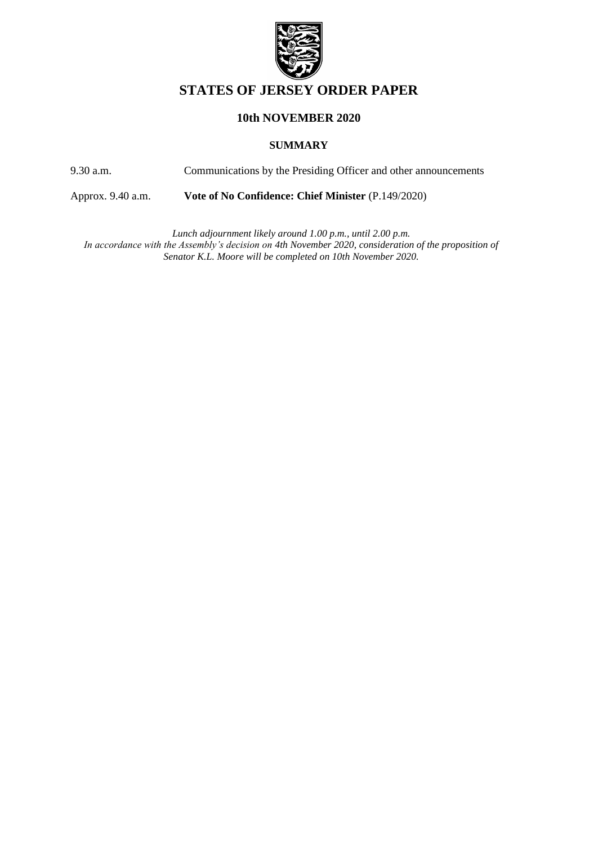

# **STATES OF JERSEY ORDER PAPER**

## **10th NOVEMBER 2020**

#### **SUMMARY**

9.30 a.m. Communications by the Presiding Officer and other announcements

Approx. 9.40 a.m. **[Vote of No Confidence: Chief Minister](https://statesassembly.gov.je/AssemblyPropositions/2020/P.149-2020%20Vote%20of%20No%20Confidence%20-%20Chief%20Minister.pdf)** (P.149/2020)

*Lunch adjournment likely around 1.00 p.m., until 2.00 p.m.*  In accordance with the Assembly's decision on 4th November 2020, consideration of the proposition of *Senator K.L. Moore will be completed on 10th November 2020.*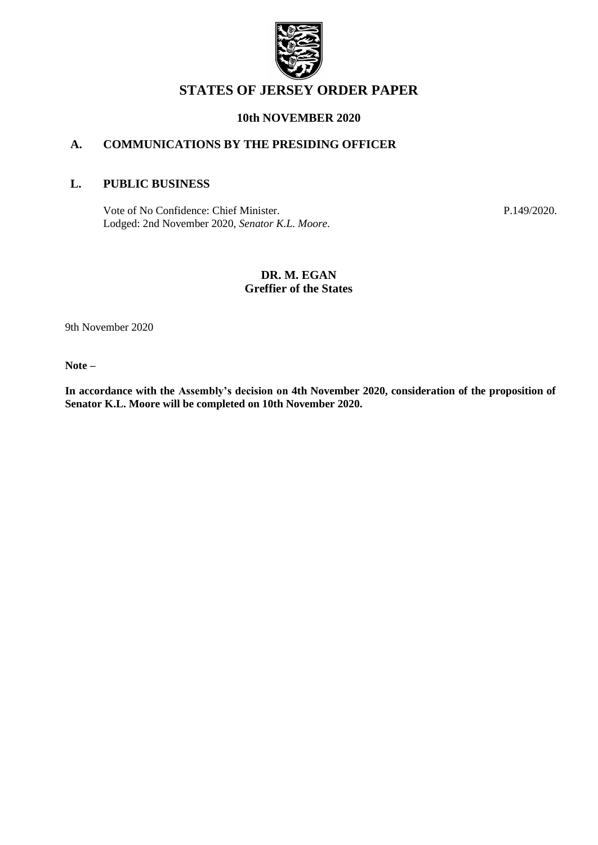

# **STATES OF JERSEY ORDER PAPER**

#### **10th NOVEMBER 2020**

## **A. COMMUNICATIONS BY THE PRESIDING OFFICER**

#### **L. PUBLIC BUSINESS**

[Vote of No Confidence: Chief Minister.](https://statesassembly.gov.je/AssemblyPropositions/2020/P.149-2020%20Vote%20of%20No%20Confidence%20-%20Chief%20Minister.pdf) [Lodged: 2nd November 2020,](https://statesassembly.gov.je/AssemblyPropositions/2020/P.149-2020%20Vote%20of%20No%20Confidence%20-%20Chief%20Minister.pdf) *Senator K.L. Moore.* [P.149/2020.](https://statesassembly.gov.je/AssemblyPropositions/2020/P.149-2020%20Vote%20of%20No%20Confidence%20-%20Chief%20Minister.pdf)

#### **DR. M. EGAN Greffier of the States**

9th November 2020

**Note –**

**In accordance with the Assembly's decision on 4th November 2020, consideration of the proposition of Senator K.L. Moore will be completed on 10th November 2020.**